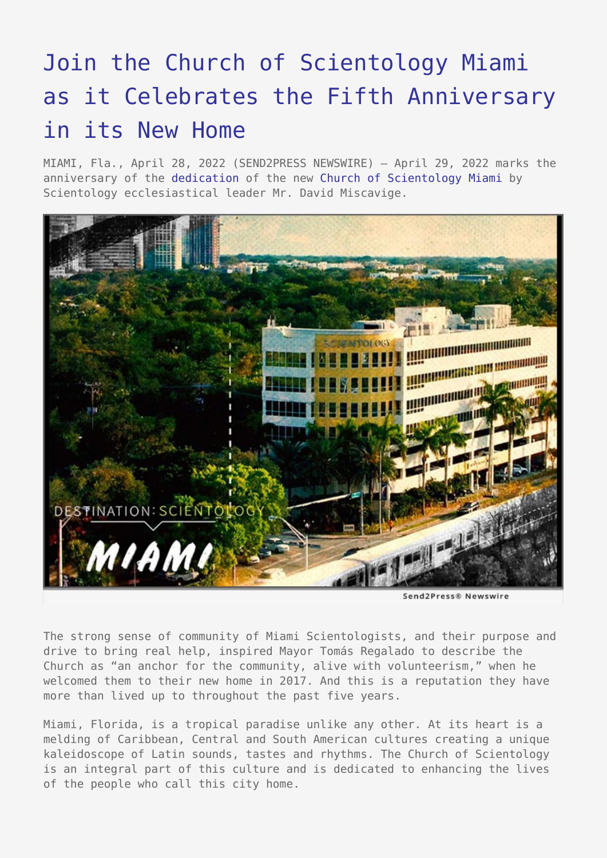## [Join the Church of Scientology Miami](https://www.send2press.com/wire/join-the-church-of-scientology-miami-as-it-celebrates-the-fifth-anniversary-in-its-new-home/) [as it Celebrates the Fifth Anniversary](https://www.send2press.com/wire/join-the-church-of-scientology-miami-as-it-celebrates-the-fifth-anniversary-in-its-new-home/) [in its New Home](https://www.send2press.com/wire/join-the-church-of-scientology-miami-as-it-celebrates-the-fifth-anniversary-in-its-new-home/)

MIAMI, Fla., April 28, 2022 (SEND2PRESS NEWSWIRE) — April 29, 2022 marks the anniversary of the [dedication](https://www.davidmiscavige.org/photos/galleries/grand-opening-miami.html) of the new [Church of Scientology Miami](https://www.scientology-miami.org/) by Scientology ecclesiastical leader Mr. David Miscavige.



Send2Press® Newswire

The strong sense of community of Miami Scientologists, and their purpose and drive to bring real help, inspired Mayor Tomás Regalado to describe the Church as "an anchor for the community, alive with volunteerism," when he welcomed them to their new home in 2017. And this is a reputation they have more than lived up to throughout the past five years.

Miami, Florida, is a tropical paradise unlike any other. At its heart is a melding of Caribbean, Central and South American cultures creating a unique kaleidoscope of Latin sounds, tastes and rhythms. The Church of Scientology is an integral part of this culture and is dedicated to enhancing the lives of the people who call this city home.